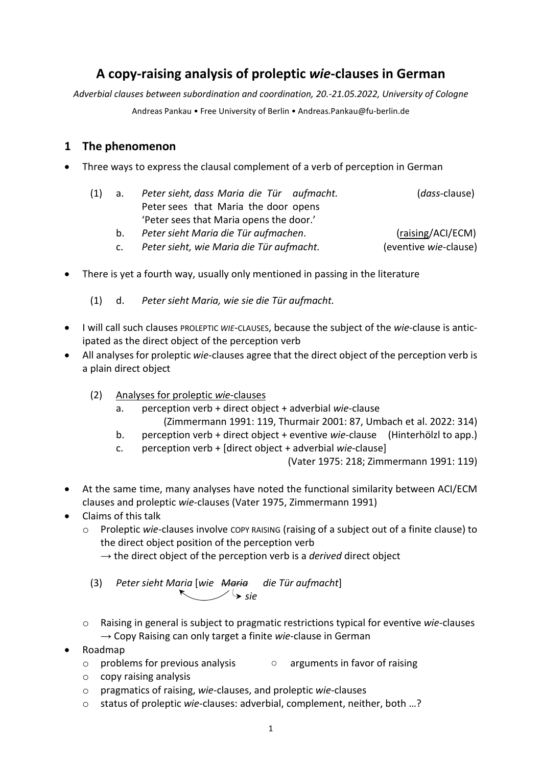# **A copy-raising analysis of proleptic** *wie***-clauses in German**

*Adverbial clauses between subordination and coordination, 20.-21.05.2022, University of Cologne*

Andreas Pankau • Free University of Berlin • Andreas.Pankau@fu-berlin.de

## **1 The phenomenon**

• Three ways to express the clausal complement of a verb of perception in German

| (1) a. |    | Peter sieht, dass Maria die Tür aufmacht. | ( <i>dass</i> -clause) |
|--------|----|-------------------------------------------|------------------------|
|        |    | Peter sees that Maria the door opens      |                        |
|        |    | 'Peter sees that Maria opens the door.'   |                        |
|        | b. | Peter sieht Maria die Tür aufmachen.      | (raising/ACI/ECM)      |

- c. *Peter sieht, wie Maria die Tür aufmacht.* (eventive *wie*-clause)
- There is yet a fourth way, usually only mentioned in passing in the literature
	- (1) d. *Peter sieht Maria, wie sie die Tür aufmacht.*
- I will call such clauses PROLEPTIC *WIE*-CLAUSES, because the subject of the *wie*-clause is anticipated as the direct object of the perception verb
- All analyses for proleptic *wie*-clauses agree that the direct object of the perception verb is a plain direct object
	- (2) Analyses for proleptic *wie*-clauses
		- a. perception verb + direct object + adverbial *wie*-clause (Zimmermann 1991: 119, Thurmair 2001: 87, Umbach et al. 2022: 314)
		- b. perception verb + direct object + eventive *wie*-clause (Hinterhölzl to app.)
		- c. perception verb + [direct object + adverbial *wie*-clause]

(Vater 1975: 218; Zimmermann 1991: 119)

- At the same time, many analyses have noted the functional similarity between ACI/ECM clauses and proleptic *wie*-clauses (Vater 1975, Zimmermann 1991)
- Claims of this talk
	- o Proleptic *wie*-clauses involve COPY RAISING (raising of a subject out of a finite clause) to the direct object position of the perception verb
		- $\rightarrow$  the direct object of the perception verb is a *derived* direct object
		- (3) *Peter sieht Maria* [*wie Maria die Tür aufmacht*]  $\sim$   $\rightarrow$  sie
	- o Raising in general is subject to pragmatic restrictions typical for eventive *wie*-clauses → Copy Raising can only target a finite *wie*-clause in German
- Roadmap
	- o problems for previous analysis arguments in favor of raising
	- o copy raising analysis
	- o pragmatics of raising, *wie*-clauses, and proleptic *wie*-clauses
	- o status of proleptic *wie*-clauses: adverbial, complement, neither, both …?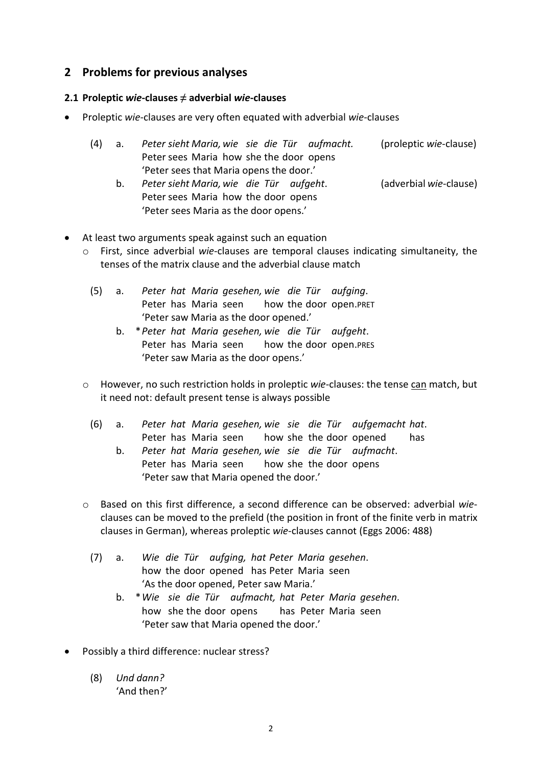## **2 Problems for previous analyses**

#### **2.1 Proleptic** *wie***-clauses ≠ adverbial** *wie***-clauses**

• Proleptic *wie*-clauses are very often equated with adverbial *wie*-clauses

| (4) a. | Peter sieht Maria, wie sie die Tür aufmacht. |  |  |  |  |  |  | (proleptic wie-clause) |  |
|--------|----------------------------------------------|--|--|--|--|--|--|------------------------|--|
|        | Peter sees Maria how she the door opens      |  |  |  |  |  |  |                        |  |
|        | 'Peter sees that Maria opens the door.'      |  |  |  |  |  |  |                        |  |

- b. *Peter sieht Maria, wie die Tür aufgeht*. (adverbial *wie*-clause) Peter sees Maria how the door opens 'Peter sees Maria as the door opens.'
- At least two arguments speak against such an equation
	- o First, since adverbial *wie*-clauses are temporal clauses indicating simultaneity, the tenses of the matrix clause and the adverbial clause match
		- (5) a. *Peter hat Maria gesehen, wie die Tür aufging*. Peter has Maria seen bow the door open.PRET 'Peter saw Maria as the door opened.'
			- b. \**Peter hat Maria gesehen, wie die Tür aufgeht*. Peter has Maria seen how the door open.PRES 'Peter saw Maria as the door opens.'
	- o However, no such restriction holds in proleptic *wie*-clauses: the tense can match, but it need not: default present tense is always possible
		- (6) a. *Peter hat Maria gesehen, wie sie die Tür aufgemacht hat*. Peter has Maria seen how she the door opened has
			- b. *Peter hat Maria gesehen, wie sie die Tür aufmacht*. Peter has Maria seen how she the door opens 'Peter saw that Maria opened the door.'
	- o Based on this first difference, a second difference can be observed: adverbial *wie*clauses can be moved to the prefield (the position in front of the finite verb in matrix clauses in German), whereas proleptic *wie*-clauses cannot (Eggs 2006: 488)
		- (7) a. *Wie die Tür aufging, hat Peter Maria gesehen*. how the door opened has Peter Maria seen 'As the door opened, Peter saw Maria.'
			- b. \**Wie sie die Tür aufmacht, hat Peter Maria gesehen*. how she the door opens has Peter Maria seen 'Peter saw that Maria opened the door.'
- Possibly a third difference: nuclear stress?
	- (8) *Und dann?* 'And then?'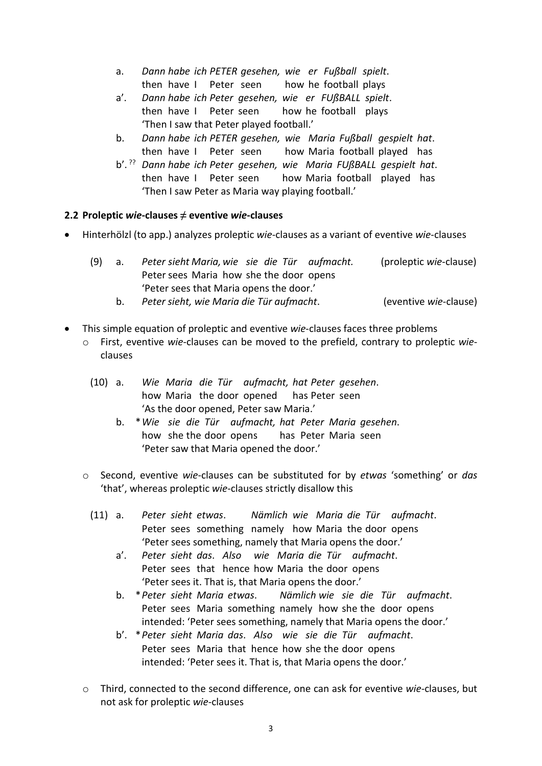- a. *Dann habe ich PETER gesehen, wie er Fußball spielt*. then have I Peter seen how he football plays
- a'. *Dann habe ich Peter gesehen, wie er FUßBALL spielt*. then have I Peter seen how he football plays 'Then I saw that Peter played football.'
- b. *Dann habe ich PETER gesehen, wie Maria Fußball gespielt hat*. then have I Peter seen how Maria football played has
- b'. ?? *Dann habe ich Peter gesehen, wie Maria FUßBALL gespielt hat*. then have I Peter seen how Maria football played has 'Then I saw Peter as Maria way playing football.'

#### **2.2 Proleptic** *wie***-clauses ≠ eventive** *wie***-clauses**

• Hinterhölzl (to app.) analyzes proleptic *wie*-clauses as a variant of eventive *wie*-clauses

|  | (9) a. | Peter sieht Maria, wie sie die Tür aufmacht. | (proleptic wie-clause)                    |
|--|--------|----------------------------------------------|-------------------------------------------|
|  |        | Peter sees Maria how she the door opens      |                                           |
|  |        | 'Peter sees that Maria opens the door.'      |                                           |
|  |        |                                              | $\sim$ $\sim$ $\sim$ $\sim$ $\sim$ $\sim$ |

- b. *Peter sieht, wie Maria die Tür aufmacht*. (eventive *wie*-clause)
- This simple equation of proleptic and eventive *wie*-clauses faces three problems
	- o First, eventive *wie*-clauses can be moved to the prefield, contrary to proleptic *wie*clauses
		- (10) a. *Wie Maria die Tür aufmacht, hat Peter gesehen*. how Maria the door opened has Peter seen 'As the door opened, Peter saw Maria.'
			- b. \**Wie sie die Tür aufmacht, hat Peter Maria gesehen*. how she the door opens has Peter Maria seen 'Peter saw that Maria opened the door.'
	- o Second, eventive *wie*-clauses can be substituted for by *etwas* 'something' or *das* 'that', whereas proleptic *wie*-clauses strictly disallow this
		- (11) a. *Peter sieht etwas*. *Nämlich wie Maria die Tür aufmacht*. Peter sees something namely how Maria the door opens 'Peter sees something, namely that Maria opens the door.'
			- a'. *Peter sieht das*. *Also wie Maria die Tür aufmacht*. Peter sees that hence how Maria the door opens 'Peter sees it. That is, that Maria opens the door.'
			- b. \**Peter sieht Maria etwas*. *Nämlich wie sie die Tür aufmacht*. Peter sees Maria something namely how she the door opens intended: 'Peter sees something, namely that Maria opens the door.'
			- b'. \**Peter sieht Maria das*. *Also wie sie die Tür aufmacht*. Peter sees Maria that hence how she the door opens intended: 'Peter sees it. That is, that Maria opens the door.'
	- o Third, connected to the second difference, one can ask for eventive *wie*-clauses, but not ask for proleptic *wie*-clauses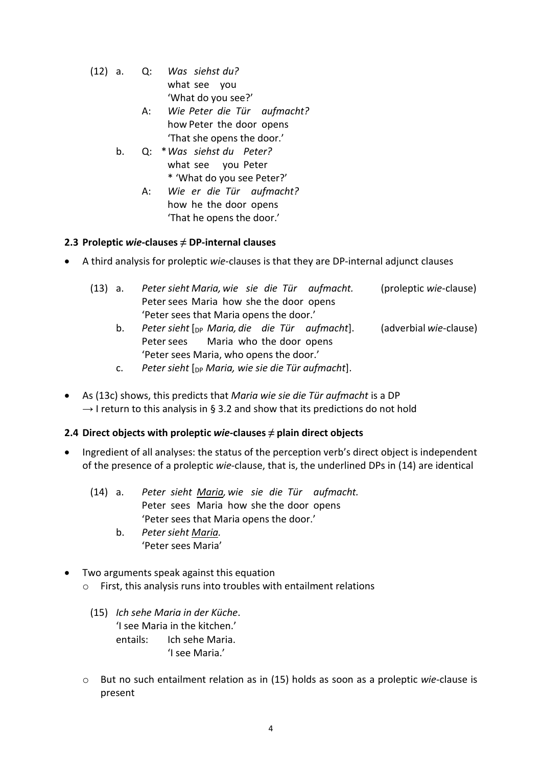- (12) a. Q: *Was siehst du?* what see you 'What do you see?'
	- A: *Wie Peter die Tür aufmacht?* how Peter the door opens 'That she opens the door.'
	- b. Q: \**Was siehst du Peter?* what see you Peter \* 'What do you see Peter?'
		- A: *Wie er die Tür aufmacht?* how he the door opens 'That he opens the door.'

#### **2.3 Proleptic** *wie***-clauses ≠ DP-internal clauses**

• A third analysis for proleptic *wie*-clauses is that they are DP-internal adjunct clauses

| (13) a. |    | Peter sieht Maria, wie sie die Tür aufmacht.           | (proleptic wie-clause) |
|---------|----|--------------------------------------------------------|------------------------|
|         |    | Peter sees Maria how she the door opens                |                        |
|         |    | 'Peter sees that Maria opens the door.'                |                        |
|         | b. | Peter sieht $\lceil_{DP}$ Maria, die die Tür aufmacht. | (adverbial wie-clause) |
|         |    | Peter sees Maria who the door opens                    |                        |
|         |    | 'Peter sees Maria, who opens the door.'                |                        |

- c. *Peter sieht* [DP *Maria, wie sie die Tür aufmacht*].
- As (13c) shows, this predicts that *Maria wie sie die Tür aufmacht* is a DP  $\rightarrow$  I return to this analysis in § 3.2 and show that its predictions do not hold

### **2.4** Direct objects with proleptic *wie*-clauses  $\neq$  plain direct objects

- Ingredient of all analyses: the status of the perception verb's direct object is independent of the presence of a proleptic *wie*-clause, that is, the underlined DPs in (14) are identical
	- (14) a. *Peter sieht Maria, wie sie die Tür aufmacht.* Peter sees Maria how she the door opens 'Peter sees that Maria opens the door.'
		- b. *Peter sieht Maria.* 'Peter sees Maria'
- Two arguments speak against this equation
	- o First, this analysis runs into troubles with entailment relations
		- (15) *Ich sehe Maria in der Küche*. 'I see Maria in the kitchen.' entails: Ich sehe Maria. 'I see Maria.'
	- o But no such entailment relation as in (15) holds as soon as a proleptic *wie*-clause is present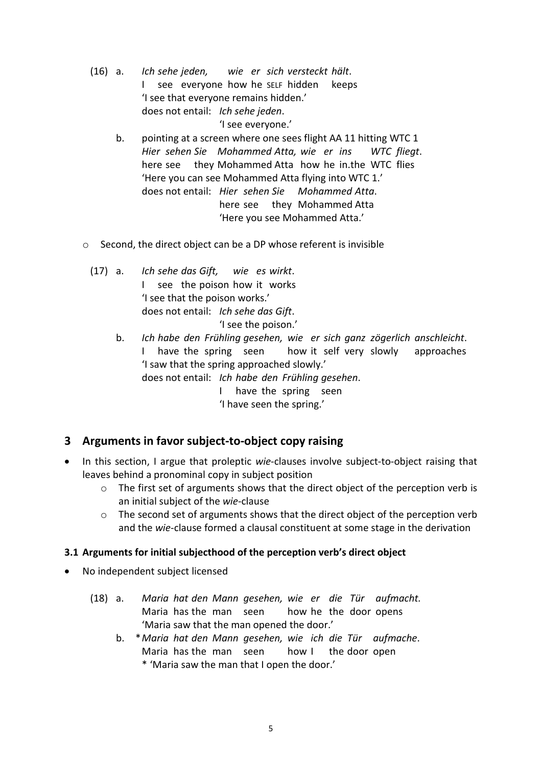(16) a. *Ich sehe jeden, wie er sich versteckt hält*. I see everyone how he SELF hidden keeps 'I see that everyone remains hidden.' does not entail: *Ich sehe jeden*. 'I see everyone.' b. pointing at a screen where one sees flight AA 11 hitting WTC 1

- *Hier sehen Sie Mohammed Atta, wie er ins WTC fliegt*. here see they Mohammed Atta how he in.the WTC flies 'Here you can see Mohammed Atta flying into WTC 1.' does not entail: *Hier sehen Sie Mohammed Atta*. here see they Mohammed Atta 'Here you see Mohammed Atta.'
- o Second, the direct object can be a DP whose referent is invisible
	- (17) a. *Ich sehe das Gift, wie es wirkt*. I see the poison how it works 'I see that the poison works.' does not entail: *Ich sehe das Gift*. 'I see the poison.'
		- b. *Ich habe den Frühling gesehen, wie er sich ganz zögerlich anschleicht*. I have the spring seen how it self very slowly approaches 'I saw that the spring approached slowly.' does not entail: *Ich habe den Frühling gesehen*.

I have the spring seen

'I have seen the spring.'

### **3 Arguments in favor subject-to-object copy raising**

- In this section, I argue that proleptic *wie*-clauses involve subject-to-object raising that leaves behind a pronominal copy in subject position
	- o The first set of arguments shows that the direct object of the perception verb is an initial subject of the *wie*-clause
	- o The second set of arguments shows that the direct object of the perception verb and the *wie*-clause formed a clausal constituent at some stage in the derivation

#### **3.1 Arguments for initial subjecthood of the perception verb's direct object**

- No independent subject licensed
	- (18) a. *Maria hat den Mann gesehen, wie er die Tür aufmacht.* Maria has the man seen how he the door opens 'Maria saw that the man opened the door.'
		- b. \**Maria hat den Mann gesehen, wie ich die Tür aufmache*. Maria has the man seen how I the door open \* 'Maria saw the man that I open the door.'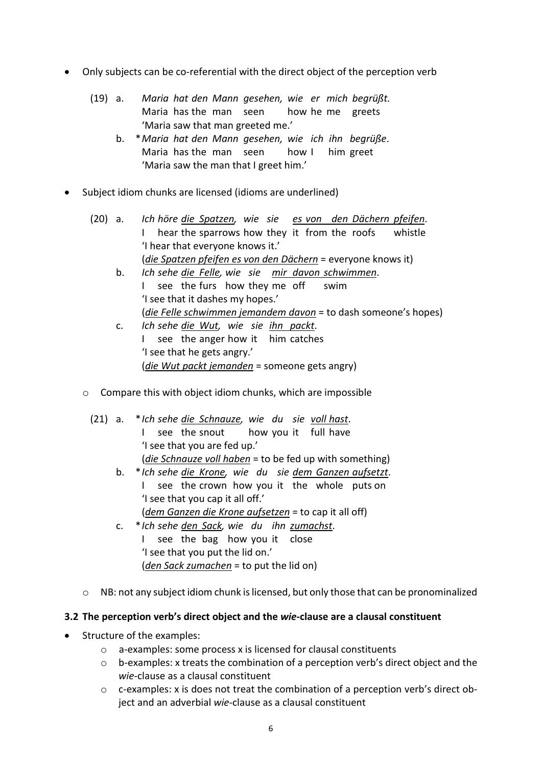- Only subjects can be co-referential with the direct object of the perception verb
	- (19) a. *Maria hat den Mann gesehen, wie er mich begrüßt.* Maria has the man seen how he me greets 'Maria saw that man greeted me.'
		- b. \**Maria hat den Mann gesehen, wie ich ihn begrüße*. Maria has the man seen how I him greet 'Maria saw the man that I greet him.'
- Subject idiom chunks are licensed (idioms are underlined)
	- (20) a. *Ich höre die Spatzen, wie sie es von den Dächern pfeifen*. I hear the sparrows how they it from the roofs whistle 'I hear that everyone knows it.' (*die Spatzen pfeifen es von den Dächern* = everyone knows it)
		- b. *Ich sehe die Felle, wie sie mir davon schwimmen*. I see the furs how they me off swim 'I see that it dashes my hopes.' (*die Felle schwimmen jemandem davon* = to dash someone's hopes)
		- c. *Ich sehe die Wut, wie sie ihn packt*. I see the anger how it him catches 'I see that he gets angry.' (*die Wut packt jemanden* = someone gets angry)
	- o Compare this with object idiom chunks, which are impossible
		- (21) a. \**Ich sehe die Schnauze, wie du sie voll hast*. I see the snout how you it full have 'I see that you are fed up.' (*die Schnauze voll haben* = to be fed up with something) b. \**Ich sehe die Krone, wie du sie dem Ganzen aufsetzt*.
			- I see the crown how you it the whole puts on 'I see that you cap it all off.' (*dem Ganzen die Krone aufsetzen* = to cap it all off)
			- c. \**Ich sehe den Sack, wie du ihn zumachst*. I see the bag how you it close 'I see that you put the lid on.' (*den Sack zumachen* = to put the lid on)
	- o NB: not any subject idiom chunk is licensed, but only those that can be pronominalized

#### **3.2 The perception verb's direct object and the** *wie***-clause are a clausal constituent**

- Structure of the examples:
	- o a-examples: some process x is licensed for clausal constituents
	- $\circ$  b-examples: x treats the combination of a perception verb's direct object and the *wie*-clause as a clausal constituent
	- o c-examples: x is does not treat the combination of a perception verb's direct object and an adverbial *wie*-clause as a clausal constituent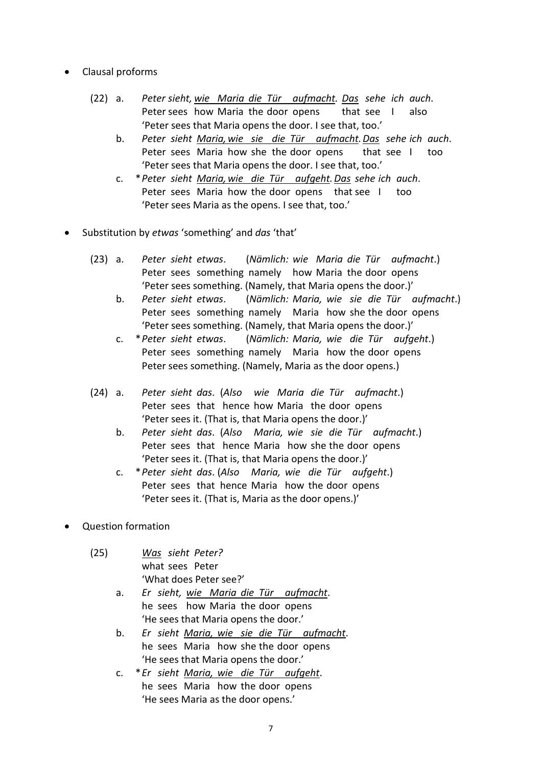- Clausal proforms
	- (22) a. *Peter sieht, wie Maria die Tür aufmacht. Das sehe ich auch*. Peter sees how Maria the door opens that see I also 'Peter sees that Maria opens the door. I see that, too.'
		- b. *Peter sieht Maria, wie sie die Tür aufmacht.Das sehe ich auch*. Peter sees Maria how she the door opens that see I too 'Peter sees that Maria opens the door. I see that, too.'
		- c. \**Peter sieht Maria, wie die Tür aufgeht.Das sehe ich auch*. Peter sees Maria how the door opens that see I too 'Peter sees Maria as the opens. I see that, too.'
- Substitution by *etwas* 'something' and *das* 'that'
	- (23) a. *Peter sieht etwas*. (*Nämlich: wie Maria die Tür aufmacht*.) Peter sees something namely how Maria the door opens 'Peter sees something. (Namely, that Maria opens the door.)'
		- b. *Peter sieht etwas*. (*Nämlich: Maria, wie sie die Tür aufmacht*.) Peter sees something namely Maria how she the door opens 'Peter sees something. (Namely, that Maria opens the door.)'
		- c. \**Peter sieht etwas*. (*Nämlich: Maria, wie die Tür aufgeht*.) Peter sees something namely Maria how the door opens Peter sees something. (Namely, Maria as the door opens.)
	- (24) a. *Peter sieht das*. (*Also wie Maria die Tür aufmacht*.) Peter sees that hence how Maria the door opens 'Peter sees it. (That is, that Maria opens the door.)'
		- b. *Peter sieht das*. (*Also Maria, wie sie die Tür aufmacht*.) Peter sees that hence Maria how she the door opens 'Peter sees it. (That is, that Maria opens the door.)'
		- c. \**Peter sieht das*. (*Also Maria, wie die Tür aufgeht*.) Peter sees that hence Maria how the door opens 'Peter sees it. (That is, Maria as the door opens.)'
- Question formation
	- (25) *Was sieht Peter?* what sees Peter 'What does Peter see?'
		- a. *Er sieht, wie Maria die Tür aufmacht*. he sees how Maria the door opens 'He sees that Maria opens the door.'
		- b. *Er sieht Maria, wie sie die Tür aufmacht*. he sees Maria how she the door opens 'He sees that Maria opens the door.'
		- c. \**Er sieht Maria, wie die Tür aufgeht*. he sees Maria how the door opens 'He sees Maria as the door opens.'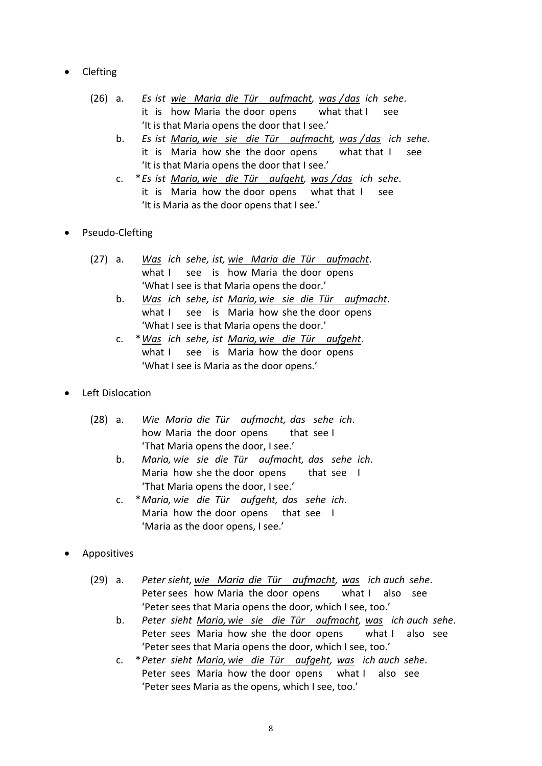- Clefting
	- (26) a. *Es ist wie Maria die Tür aufmacht, was /das ich sehe*. it is how Maria the door opens what that I see 'It is that Maria opens the door that I see.'
		- b. *Es ist Maria, wie sie die Tür aufmacht, was /das ich sehe*. it is Maria how she the door opens what that I see 'It is that Maria opens the door that I see.'
		- c. \**Es ist Maria, wie die Tür aufgeht, was /das ich sehe*. it is Maria how the door opens what that I see 'It is Maria as the door opens that I see.'
- Pseudo-Clefting
	- (27) a. *Was ich sehe, ist, wie Maria die Tür aufmacht*. what I see is how Maria the door opens 'What I see is that Maria opens the door.'
		- b. *Was ich sehe, ist Maria, wie sie die Tür aufmacht*. what I see is Maria how she the door opens 'What I see is that Maria opens the door.'
		- c. \**Was ich sehe, ist Maria, wie die Tür aufgeht*. what I see is Maria how the door opens 'What I see is Maria as the door opens.'
- Left Dislocation
	- (28) a. *Wie Maria die Tür aufmacht, das sehe ich*. how Maria the door opens that see I 'That Maria opens the door, I see.'
		- b. *Maria, wie sie die Tür aufmacht, das sehe ich*. Maria how she the door opens that see I 'That Maria opens the door, I see.'
		- c. \**Maria, wie die Tür aufgeht, das sehe ich*. Maria how the door opens that see I 'Maria as the door opens, I see.'
- Appositives
	- (29) a. *Peter sieht, wie Maria die Tür aufmacht, was ich auch sehe*. Peter sees how Maria the door opens what I also see 'Peter sees that Maria opens the door, which I see, too.'
		- b. *Peter sieht Maria, wie sie die Tür aufmacht, was ich auch sehe*. Peter sees Maria how she the door opens what I also see 'Peter sees that Maria opens the door, which I see, too.'
		- c. \**Peter sieht Maria, wie die Tür aufgeht, was ich auch sehe*. Peter sees Maria how the door opens what I also see 'Peter sees Maria as the opens, which I see, too.'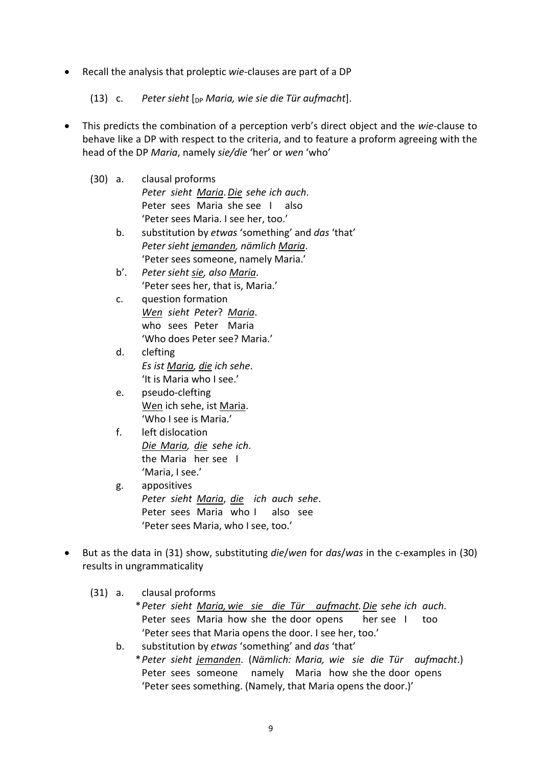• Recall the analysis that proleptic *wie*-clauses are part of a DP

(13) c. *Peter sieht* [DP *Maria, wie sie die Tür aufmacht*].

- This predicts the combination of a perception verb's direct object and the *wie*-clause to behave like a DP with respect to the criteria, and to feature a proform agreeing with the head of the DP *Maria*, namely *sie/die* 'her' or *wen* 'who'
	- (30) a. clausal proforms *Peter sieht Maria*.*Die sehe ich auch*. Peter sees Maria she see I also 'Peter sees Maria. I see her, too.'
		- b. substitution by *etwas* 'something' and *das* 'that' *Peter sieht jemanden, nämlich Maria*. 'Peter sees someone, namely Maria.'
		- b'. *Peter sieht sie, also Maria*. 'Peter sees her, that is, Maria.'
		- c. question formation *Wen sieht Peter*? *Maria*. who sees Peter Maria 'Who does Peter see? Maria.'
		- d. clefting *Es ist Maria, die ich sehe*. 'It is Maria who I see.'
		- e. pseudo-clefting Wen ich sehe, ist Maria. 'Who I see is Maria.'
		- f. left dislocation *Die Maria, die sehe ich*. the Maria her see I 'Maria, I see.'
		- g. appositives *Peter sieht Maria*, *die ich auch sehe*. Peter sees Maria who I also see 'Peter sees Maria, who I see, too.'
- But as the data in (31) show, substituting *die*/*wen* for *das*/*was* in the c-examples in (30) results in ungrammaticality

(31) a. clausal proforms

- \**Peter sieht Maria, wie sie die Tür aufmacht.Die sehe ich auch*. Peter sees Maria how she the door opens her see I too 'Peter sees that Maria opens the door. I see her, too.'
- b. substitution by *etwas* 'something' and *das* 'that'
	- \**Peter sieht jemanden*. (*Nämlich: Maria, wie sie die Tür aufmacht*.) Peter sees someone namely Maria how she the door opens 'Peter sees something. (Namely, that Maria opens the door.)'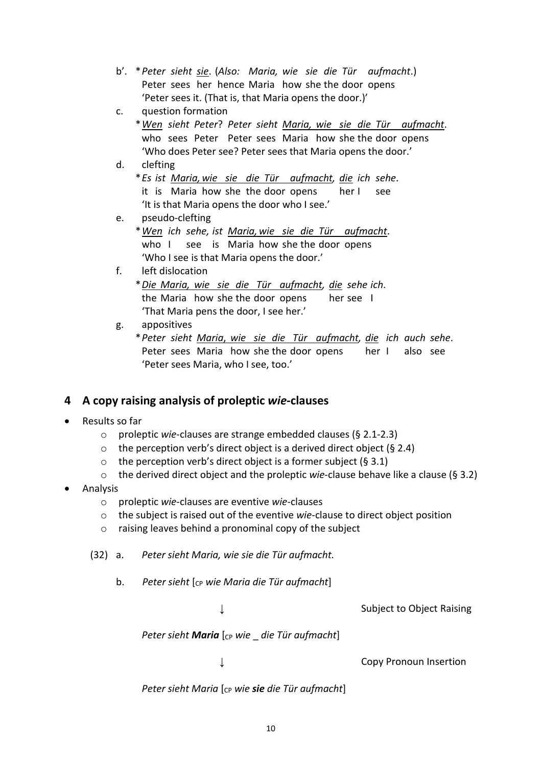- b'. \**Peter sieht sie*. (*Also: Maria, wie sie die Tür aufmacht*.) Peter sees her hence Maria how she the door opens 'Peter sees it. (That is, that Maria opens the door.)'
- c. question formation
	- \**Wen sieht Peter*? *Peter sieht Maria, wie sie die Tür aufmacht*. who sees Peter Peter sees Maria how she the door opens 'Who does Peter see? Peter sees that Maria opens the door.'

#### d. clefting

\**Es ist Maria, wie sie die Tür aufmacht, die ich sehe*. it is Maria how she the door opens her I see 'It is that Maria opens the door who I see.'

e. pseudo-clefting \**Wen ich sehe, ist Maria, wie sie die Tür aufmacht*. who I see is Maria how she the door opens 'Who I see is that Maria opens the door.'

#### f. left dislocation

\**Die Maria, wie sie die Tür aufmacht, die sehe ich*. the Maria how she the door opens her see I 'That Maria pens the door, I see her.'

- g. appositives
	- \**Peter sieht Maria*, *wie sie die Tür aufmacht, die ich auch sehe*. Peter sees Maria how she the door opens her I also see 'Peter sees Maria, who I see, too.'

## **4 A copy raising analysis of proleptic** *wie***-clauses**

- Results so far
	- o proleptic *wie*-clauses are strange embedded clauses (§ 2.1-2.3)
	- $\circ$  the perception verb's direct object is a derived direct object (§ 2.4)
	- $\circ$  the perception verb's direct object is a former subject (§ 3.1)
	- o the derived direct object and the proleptic *wie*-clause behave like a clause (§ 3.2)
- Analysis
	- o proleptic *wie*-clauses are eventive *wie*-clauses
	- o the subject is raised out of the eventive *wie*-clause to direct object position
	- o raising leaves behind a pronominal copy of the subject
	- (32) a. *Peter sieht Maria, wie sie die Tür aufmacht.*
		- b. Peter sieht  $\lceil c_P \text{ wie Maria die Tür aufmacht} \rceil$

↓ Subject to Object Raising

*Peter sieht Maria* [cp wie die Tür aufmacht]

↓ Copy Pronoun Insertion

*Peter sieht Maria* [<sub>CP</sub> wie *sie die Tür aufmacht***]**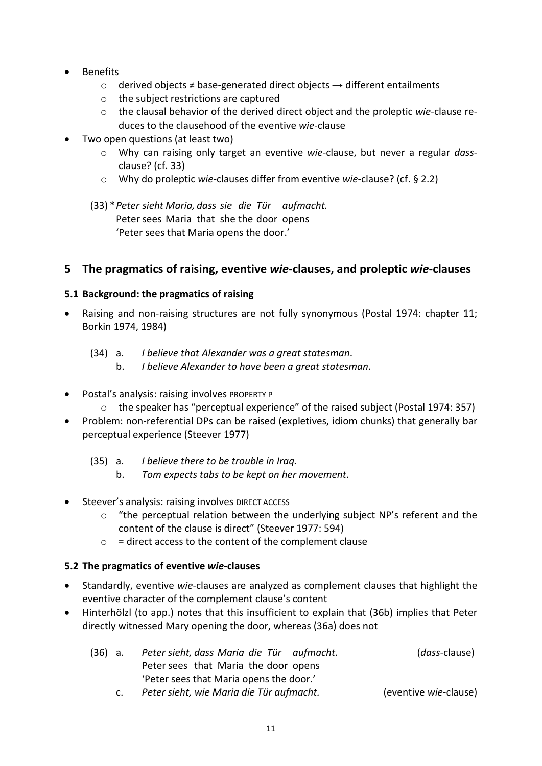- Benefits
	- o derived objects ≠ base-generated direct objects → different entailments
	- o the subject restrictions are captured
	- o the clausal behavior of the derived direct object and the proleptic *wie*-clause reduces to the clausehood of the eventive *wie*-clause
- Two open questions (at least two)
	- o Why can raising only target an eventive *wie*-clause, but never a regular *dass*clause? (cf. 33)
	- o Why do proleptic *wie*-clauses differ from eventive *wie*-clause? (cf. § 2.2)
	- (33) \**Peter sieht Maria, dass sie die Tür aufmacht.* Peter sees Maria that she the door opens 'Peter sees that Maria opens the door.'

### **5 The pragmatics of raising, eventive** *wie***-clauses, and proleptic** *wie***-clauses**

#### **5.1 Background: the pragmatics of raising**

- Raising and non-raising structures are not fully synonymous (Postal 1974: chapter 11; Borkin 1974, 1984)
	- (34) a. *I believe that Alexander was a great statesman*.
		- b. *I believe Alexander to have been a great statesman*.
- Postal's analysis: raising involves PROPERTY P
	- o the speaker has "perceptual experience" of the raised subject (Postal 1974: 357)
- Problem: non-referential DPs can be raised (expletives, idiom chunks) that generally bar perceptual experience (Steever 1977)
	- (35) a. *I believe there to be trouble in Iraq.*
		- b. *Tom expects tabs to be kept on her movement*.
- Steever's analysis: raising involves DIRECT ACCESS
	- $\circ$  "the perceptual relation between the underlying subject NP's referent and the content of the clause is direct" (Steever 1977: 594)
	- $\circ$  = direct access to the content of the complement clause

#### **5.2 The pragmatics of eventive** *wie***-clauses**

- Standardly, eventive *wie*-clauses are analyzed as complement clauses that highlight the eventive character of the complement clause's content
- Hinterhölzl (to app.) notes that this insufficient to explain that (36b) implies that Peter directly witnessed Mary opening the door, whereas (36a) does not

| (36) a. | Peter sieht, dass Maria die Tür aufmacht. | ( <i>dass</i> -clause)        |
|---------|-------------------------------------------|-------------------------------|
|         | Peter sees that Maria the door opens      |                               |
|         | 'Peter sees that Maria opens the door.'   |                               |
|         | Deter sieht, wie Maria die Tür aufmacht   | ( <i>eventive wie-clause)</i> |

c. *Peter sieht, wie Maria die Tür aufmacht.* (eventive *wie*-clause)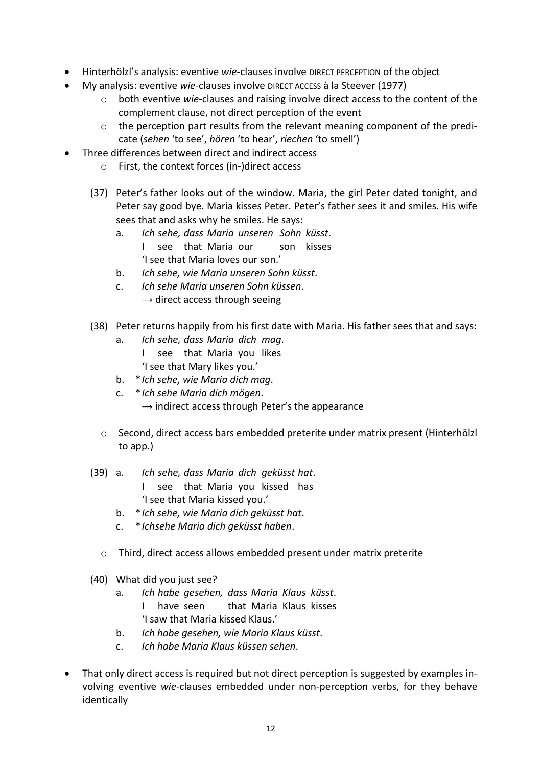- Hinterhölzl's analysis: eventive *wie*-clauses involve DIRECT PERCEPTION of the object
- My analysis: eventive *wie*-clauses involve DIRECT ACCESS à la Steever (1977)
	- o both eventive *wie*-clauses and raising involve direct access to the content of the complement clause, not direct perception of the event
	- $\circ$  the perception part results from the relevant meaning component of the predicate (*sehen* 'to see', *hören* 'to hear', *riechen* 'to smell')
- Three differences between direct and indirect access
	- o First, the context forces (in-)direct access
	- (37) Peter's father looks out of the window. Maria, the girl Peter dated tonight, and Peter say good bye. Maria kisses Peter. Peter's father sees it and smiles. His wife sees that and asks why he smiles. He says:
		- a. *Ich sehe, dass Maria unseren Sohn küsst*. I see that Maria our son kisses 'I see that Maria loves our son.'
		- b. *Ich sehe, wie Maria unseren Sohn küsst*.
		- c. *Ich sehe Maria unseren Sohn küssen*.  $\rightarrow$  direct access through seeing
	- (38) Peter returns happily from his first date with Maria. His father sees that and says:
		- a. *Ich sehe, dass Maria dich mag*.
			- I see that Maria you likes
			- 'I see that Mary likes you.'
		- b. \**Ich sehe, wie Maria dich mag*.
		- c. \**Ich sehe Maria dich mögen*.
			- $\rightarrow$  indirect access through Peter's the appearance
		- o Second, direct access bars embedded preterite under matrix present (Hinterhölzl to app.)
	- (39) a. *Ich sehe, dass Maria dich geküsst hat*.
		- I see that Maria you kissed has 'I see that Maria kissed you.'
		- b. \**Ich sehe, wie Maria dich geküsst hat*.
		- c. \**Ichsehe Maria dich geküsst haben*.
		- o Third, direct access allows embedded present under matrix preterite
	- (40) What did you just see?
		- a. *Ich habe gesehen, dass Maria Klaus küsst*. I have seen that Maria Klaus kisses 'I saw that Maria kissed Klaus.'
		- b. *Ich habe gesehen, wie Maria Klaus küsst*.
		- c. *Ich habe Maria Klaus küssen sehen*.
- That only direct access is required but not direct perception is suggested by examples involving eventive *wie*-clauses embedded under non-perception verbs, for they behave identically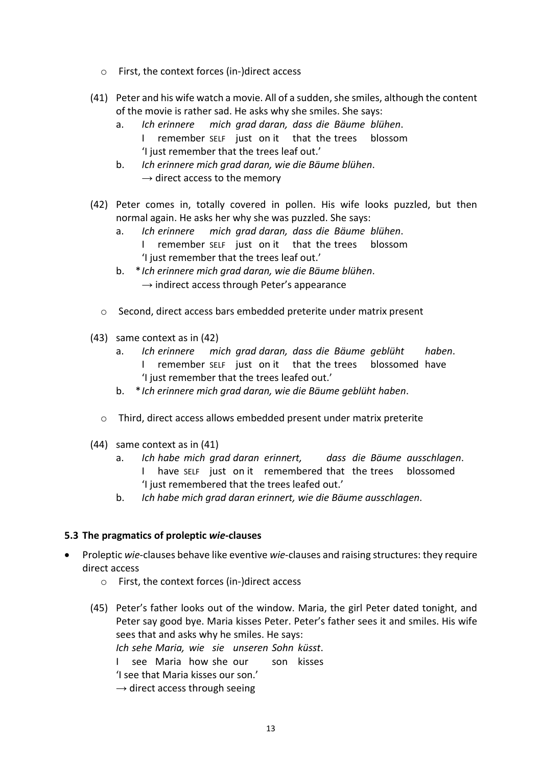- o First, the context forces (in-)direct access
- (41) Peter and his wife watch a movie. All of a sudden, she smiles, although the content of the movie is rather sad. He asks why she smiles. She says:
	- a. *Ich erinnere mich grad daran, dass die Bäume blühen*. remember SELF just on it that the trees blossom 'I just remember that the trees leaf out.'
	- b. *Ich erinnere mich grad daran, wie die Bäume blühen*.  $\rightarrow$  direct access to the memory
- (42) Peter comes in, totally covered in pollen. His wife looks puzzled, but then normal again. He asks her why she was puzzled. She says:
	- a. *Ich erinnere mich grad daran, dass die Bäume blühen*. remember SELF just on it that the trees blossom 'I just remember that the trees leaf out.'
	- b. \**Ich erinnere mich grad daran, wie die Bäume blühen*.  $\rightarrow$  indirect access through Peter's appearance
	- $\circ$  Second, direct access bars embedded preterite under matrix present
- (43) same context as in (42)
	- a. *Ich erinnere mich grad daran, dass die Bäume geblüht haben*. I remember SELF just on it that the trees blossomed have 'I just remember that the trees leafed out.'
	- b. \**Ich erinnere mich grad daran, wie die Bäume geblüht haben*.
	- o Third, direct access allows embedded present under matrix preterite
- (44) same context as in (41)
	- a. *Ich habe mich grad daran erinnert, dass die Bäume ausschlagen*. have SELF just on it remembered that the trees blossomed 'I just remembered that the trees leafed out.'
	- b. *Ich habe mich grad daran erinnert, wie die Bäume ausschlagen*.

#### **5.3 The pragmatics of proleptic** *wie***-clauses**

- Proleptic *wie*-clauses behave like eventive *wie*-clauses and raising structures: they require direct access
	- o First, the context forces (in-)direct access
	- (45) Peter's father looks out of the window. Maria, the girl Peter dated tonight, and Peter say good bye. Maria kisses Peter. Peter's father sees it and smiles. His wife sees that and asks why he smiles. He says:
		- *Ich sehe Maria, wie sie unseren Sohn küsst*.
		- I see Maria how she our son kisses
		- 'I see that Maria kisses our son.'
		- $\rightarrow$  direct access through seeing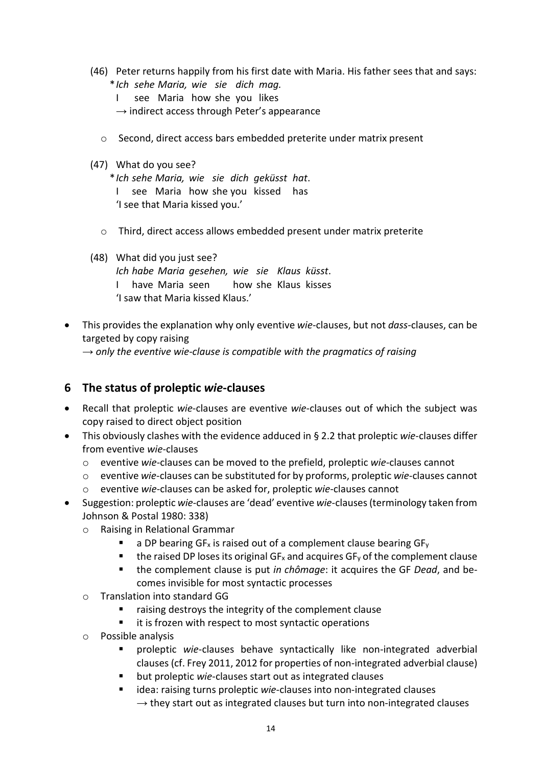- (46) Peter returns happily from his first date with Maria. His father sees that and says: \**Ich sehe Maria, wie sie dich mag.*
	- I see Maria how she you likes
	- $\rightarrow$  indirect access through Peter's appearance
	- $\circ$  Second, direct access bars embedded preterite under matrix present
- (47) What do you see?

\**Ich sehe Maria, wie sie dich geküsst hat*. I see Maria how she you kissed has 'I see that Maria kissed you.'

- o Third, direct access allows embedded present under matrix preterite
- (48) What did you just see? *Ich habe Maria gesehen, wie sie Klaus küsst*. I have Maria seen how she Klaus kisses 'I saw that Maria kissed Klaus.'
- This provides the explanation why only eventive *wie*-clauses, but not *dass*-clauses, can be targeted by copy raising
	- $\rightarrow$  only the eventive wie-clause is compatible with the pragmatics of raising

### **6 The status of proleptic** *wie***-clauses**

- Recall that proleptic *wie*-clauses are eventive *wie*-clauses out of which the subject was copy raised to direct object position
- This obviously clashes with the evidence adduced in § 2.2 that proleptic *wie*-clauses differ from eventive *wie*-clauses
	- o eventive *wie*-clauses can be moved to the prefield, proleptic *wie*-clauses cannot
	- o eventive *wie*-clauses can be substituted for by proforms, proleptic *wie*-clauses cannot
	- o eventive *wie*-clauses can be asked for, proleptic *wie*-clauses cannot
- Suggestion: proleptic *wie*-clauses are 'dead' eventive *wie*-clauses(terminology taken from Johnson & Postal 1980: 338)
	- o Raising in Relational Grammar
		- a DP bearing  $GF_x$  is raised out of a complement clause bearing  $GF_y$
		- $\blacksquare$  the raised DP loses its original GF<sub>x</sub> and acquires GF<sub>y</sub> of the complement clause
		- the complement clause is put *in chômage*: it acquires the GF *Dead*, and becomes invisible for most syntactic processes
	- o Translation into standard GG
		- **EXT** raising destroys the integrity of the complement clause
		- it is frozen with respect to most syntactic operations
	- o Possible analysis
		- proleptic *wie*-clauses behave syntactically like non-integrated adverbial clauses (cf. Frey 2011, 2012 for properties of non-integrated adverbial clause)
		- but proleptic *wie*-clauses start out as integrated clauses
		- idea: raising turns proleptic *wie*-clauses into non-integrated clauses  $\rightarrow$  they start out as integrated clauses but turn into non-integrated clauses